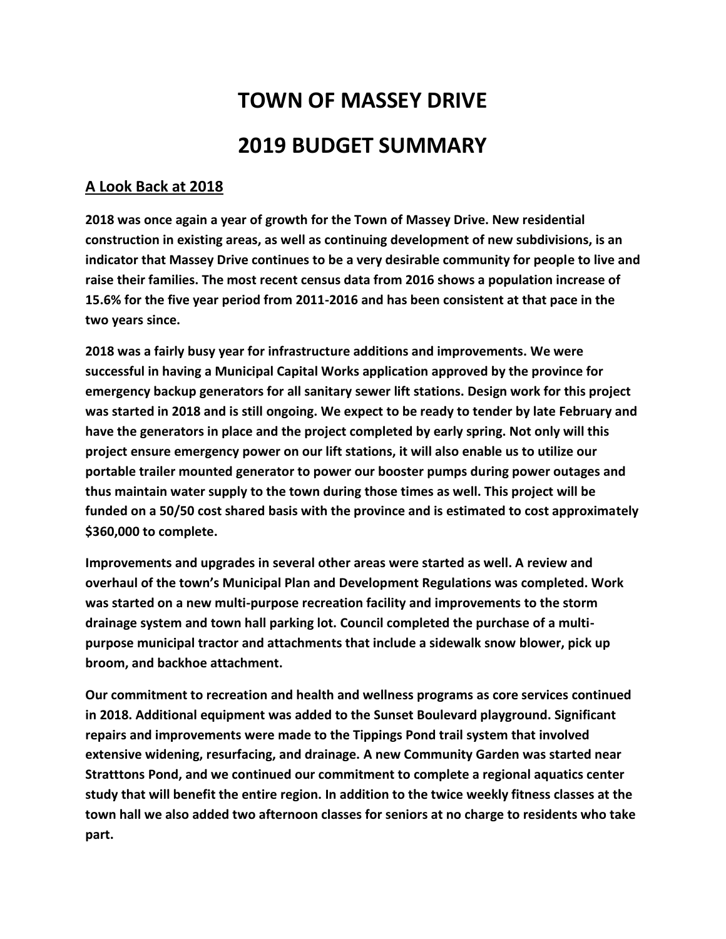## **TOWN OF MASSEY DRIVE 2019 BUDGET SUMMARY**

## **A Look Back at 2018**

**2018 was once again a year of growth for the Town of Massey Drive. New residential construction in existing areas, as well as continuing development of new subdivisions, is an indicator that Massey Drive continues to be a very desirable community for people to live and raise their families. The most recent census data from 2016 shows a population increase of 15.6% for the five year period from 2011-2016 and has been consistent at that pace in the two years since.** 

**2018 was a fairly busy year for infrastructure additions and improvements. We were successful in having a Municipal Capital Works application approved by the province for emergency backup generators for all sanitary sewer lift stations. Design work for this project was started in 2018 and is still ongoing. We expect to be ready to tender by late February and have the generators in place and the project completed by early spring. Not only will this project ensure emergency power on our lift stations, it will also enable us to utilize our portable trailer mounted generator to power our booster pumps during power outages and thus maintain water supply to the town during those times as well. This project will be funded on a 50/50 cost shared basis with the province and is estimated to cost approximately \$360,000 to complete.**

**Improvements and upgrades in several other areas were started as well. A review and overhaul of the town's Municipal Plan and Development Regulations was completed. Work was started on a new multi-purpose recreation facility and improvements to the storm drainage system and town hall parking lot. Council completed the purchase of a multipurpose municipal tractor and attachments that include a sidewalk snow blower, pick up broom, and backhoe attachment.** 

**Our commitment to recreation and health and wellness programs as core services continued in 2018. Additional equipment was added to the Sunset Boulevard playground. Significant repairs and improvements were made to the Tippings Pond trail system that involved extensive widening, resurfacing, and drainage. A new Community Garden was started near Stratttons Pond, and we continued our commitment to complete a regional aquatics center study that will benefit the entire region. In addition to the twice weekly fitness classes at the town hall we also added two afternoon classes for seniors at no charge to residents who take part.**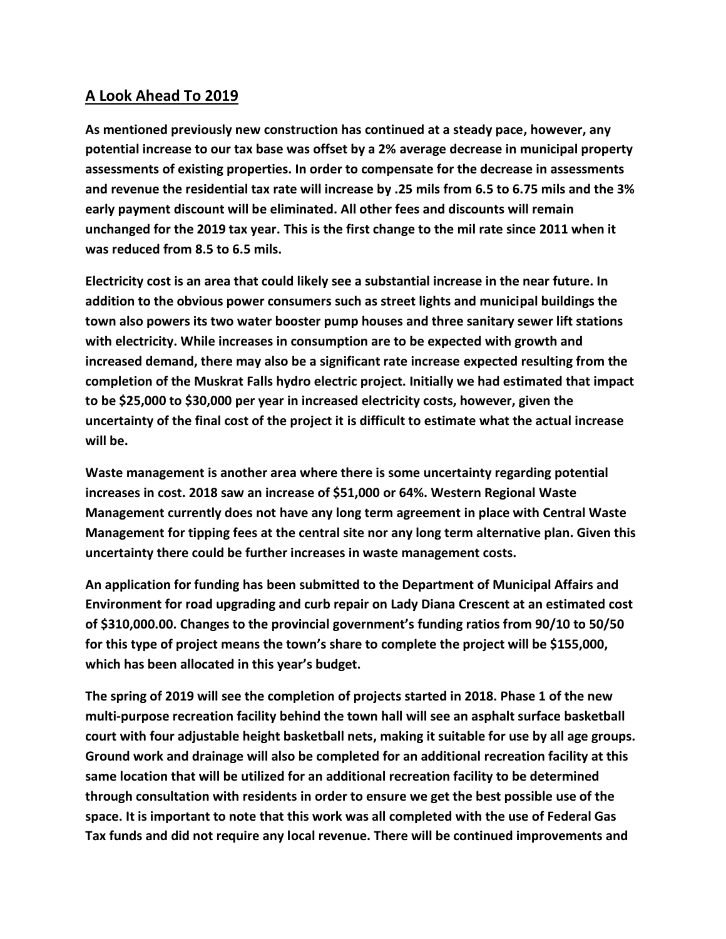## **A Look Ahead To 2019**

**As mentioned previously new construction has continued at a steady pace, however, any potential increase to our tax base was offset by a 2% average decrease in municipal property assessments of existing properties. In order to compensate for the decrease in assessments and revenue the residential tax rate will increase by .25 mils from 6.5 to 6.75 mils and the 3% early payment discount will be eliminated. All other fees and discounts will remain unchanged for the 2019 tax year. This is the first change to the mil rate since 2011 when it was reduced from 8.5 to 6.5 mils.** 

**Electricity cost is an area that could likely see a substantial increase in the near future. In addition to the obvious power consumers such as street lights and municipal buildings the town also powers its two water booster pump houses and three sanitary sewer lift stations with electricity. While increases in consumption are to be expected with growth and increased demand, there may also be a significant rate increase expected resulting from the completion of the Muskrat Falls hydro electric project. Initially we had estimated that impact to be \$25,000 to \$30,000 per year in increased electricity costs, however, given the uncertainty of the final cost of the project it is difficult to estimate what the actual increase will be.** 

**Waste management is another area where there is some uncertainty regarding potential increases in cost. 2018 saw an increase of \$51,000 or 64%. Western Regional Waste Management currently does not have any long term agreement in place with Central Waste Management for tipping fees at the central site nor any long term alternative plan. Given this uncertainty there could be further increases in waste management costs.**

**An application for funding has been submitted to the Department of Municipal Affairs and Environment for road upgrading and curb repair on Lady Diana Crescent at an estimated cost of \$310,000.00. Changes to the provincial government's funding ratios from 90/10 to 50/50 for this type of project means the town's share to complete the project will be \$155,000, which has been allocated in this year's budget.**

**The spring of 2019 will see the completion of projects started in 2018. Phase 1 of the new multi-purpose recreation facility behind the town hall will see an asphalt surface basketball court with four adjustable height basketball nets, making it suitable for use by all age groups. Ground work and drainage will also be completed for an additional recreation facility at this same location that will be utilized for an additional recreation facility to be determined through consultation with residents in order to ensure we get the best possible use of the space. It is important to note that this work was all completed with the use of Federal Gas Tax funds and did not require any local revenue. There will be continued improvements and**